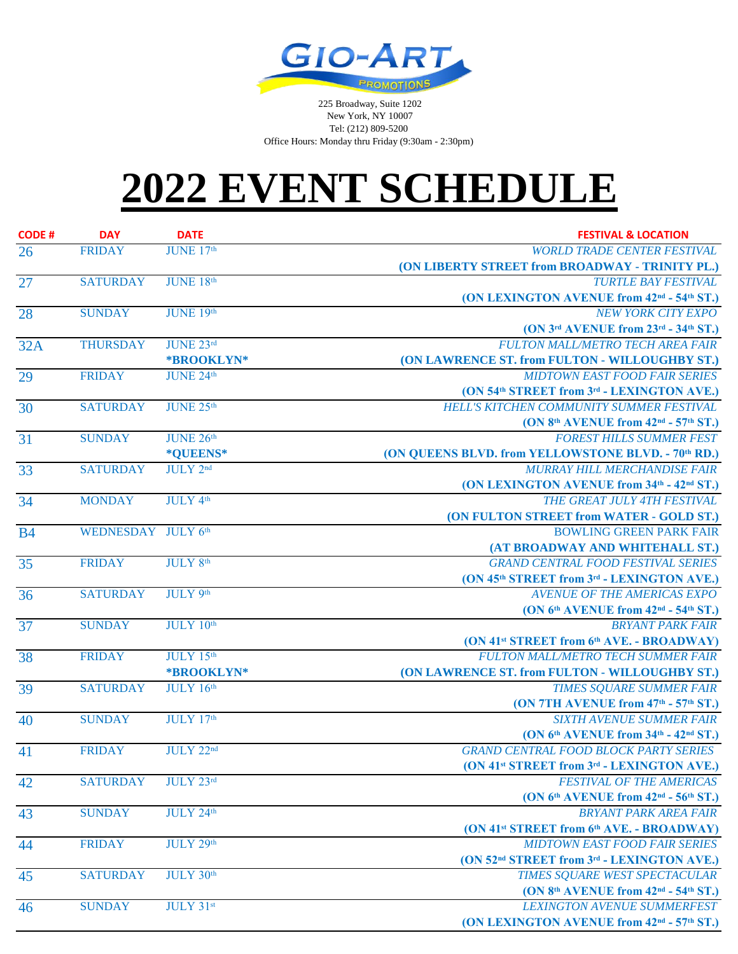

 225 Broadway, Suite 1202 New York, NY 10007 Tel: (212) 809-5200 Office Hours: Monday thru Friday (9:30am - 2:30pm)

## **2022 EVENT SCHEDULE**

| <b>CODE#</b>    | <b>DAY</b>         | <b>DATE</b>     | <b>FESTIVAL &amp; LOCATION</b>                                     |
|-----------------|--------------------|-----------------|--------------------------------------------------------------------|
| 26              | <b>FRIDAY</b>      | JUNE 17th       | <b>WORLD TRADE CENTER FESTIVAL</b>                                 |
|                 |                    |                 | (ON LIBERTY STREET from BROADWAY - TRINITY PL.)                    |
| 27              | <b>SATURDAY</b>    | JUNE 18th       | <b>TURTLE BAY FESTIVAL</b>                                         |
|                 |                    |                 | (ON LEXINGTON AVENUE from 42 <sup>nd</sup> - 54 <sup>th</sup> ST.) |
| 28              | <b>SUNDAY</b>      | JUNE 19th       | <b>NEW YORK CITY EXPO</b>                                          |
|                 |                    |                 | (ON 3rd AVENUE from 23rd - 34th ST.)                               |
| 32A             | <b>THURSDAY</b>    | JUNE 23rd       | <b>FULTON MALL/METRO TECH AREA FAIR</b>                            |
|                 |                    | *BROOKLYN*      | (ON LAWRENCE ST. from FULTON - WILLOUGHBY ST.)                     |
| 29              | <b>FRIDAY</b>      | JUNE 24th       | <b>MIDTOWN EAST FOOD FAIR SERIES</b>                               |
|                 |                    |                 | (ON 54th STREET from 3rd - LEXINGTON AVE.)                         |
| 30              | <b>SATURDAY</b>    | JUNE 25th       | HELL'S KITCHEN COMMUNITY SUMMER FESTIVAL                           |
|                 |                    |                 | (ON 8th AVENUE from 42 <sup>nd</sup> - 57th ST.)                   |
| 31              | <b>SUNDAY</b>      | JUNE 26th       | <b>FOREST HILLS SUMMER FEST</b>                                    |
|                 |                    | *QUEENS*        | (ON QUEENS BLVD. from YELLOWSTONE BLVD. - 70th RD.)                |
| 33              | <b>SATURDAY</b>    | <b>JULY</b> 2nd | <b>MURRAY HILL MERCHANDISE FAIR</b>                                |
|                 |                    |                 | (ON LEXINGTON AVENUE from 34th - 42nd ST.)                         |
| 34              | <b>MONDAY</b>      | <b>JULY 4th</b> | THE GREAT JULY 4TH FESTIVAL                                        |
|                 |                    |                 | (ON FULTON STREET from WATER - GOLD ST.)                           |
| <b>B4</b>       | WEDNESDAY JULY 6th |                 | <b>BOWLING GREEN PARK FAIR</b>                                     |
|                 |                    |                 | (AT BROADWAY AND WHITEHALL ST.)                                    |
| 35              | <b>FRIDAY</b>      | <b>JULY 8th</b> | <b>GRAND CENTRAL FOOD FESTIVAL SERIES</b>                          |
|                 |                    |                 | (ON 45th STREET from 3rd - LEXINGTON AVE.)                         |
| 36              | <b>SATURDAY</b>    | <b>JULY 9th</b> | AVENUE OF THE AMERICAS EXPO                                        |
|                 |                    |                 | (ON 6th AVENUE from 42 <sup>nd</sup> - 54th ST.)                   |
| $\overline{37}$ | <b>SUNDAY</b>      | JULY 10th       | <b>BRYANT PARK FAIR</b>                                            |
|                 |                    |                 | (ON 41 <sup>st</sup> STREET from 6 <sup>th</sup> AVE. - BROADWAY)  |
| 38              | <b>FRIDAY</b>      | JULY 15th       | FULTON MALL/METRO TECH SUMMER FAIR                                 |
|                 |                    | *BROOKLYN*      | (ON LAWRENCE ST. from FULTON - WILLOUGHBY ST.)                     |
| 39              | <b>SATURDAY</b>    | JULY 16th       | TIMES SQUARE SUMMER FAIR                                           |
|                 |                    |                 | (ON 7TH AVENUE from 47th - 57th ST.)                               |
| 40              | <b>SUNDAY</b>      | JULY 17th       | <b>SIXTH AVENUE SUMMER FAIR</b>                                    |
|                 |                    |                 | (ON 6th AVENUE from 34th - 42nd ST.)                               |
| 41              | <b>FRIDAY</b>      | JULY 22nd       | <b>GRAND CENTRAL FOOD BLOCK PARTY SERIES</b>                       |
|                 |                    |                 | (ON 41 <sup>st</sup> STREET from 3 <sup>rd</sup> - LEXINGTON AVE.) |
| 42              | <b>SATURDAY</b>    | JULY 23rd       | <b>FESTIVAL OF THE AMERICAS</b>                                    |
|                 |                    |                 | (ON $6th$ AVENUE from $42nd$ - 56 <sup>th</sup> ST.)               |
| 43              | <b>SUNDAY</b>      | JULY 24th       | <b>BRYANT PARK AREA FAIR</b>                                       |
|                 |                    |                 | (ON 41 <sup>st</sup> STREET from 6 <sup>th</sup> AVE. - BROADWAY)  |
| 44              | <b>FRIDAY</b>      | JULY 29th       | <b>MIDTOWN EAST FOOD FAIR SERIES</b>                               |
|                 |                    |                 | (ON 52 <sup>nd</sup> STREET from 3 <sup>rd</sup> - LEXINGTON AVE.) |
| 45              | <b>SATURDAY</b>    | JULY 30th       | TIMES SQUARE WEST SPECTACULAR                                      |
|                 |                    |                 | (ON 8th AVENUE from 42nd - 54th ST.)                               |
| 46              | <b>SUNDAY</b>      | JULY 31st       | <b>LEXINGTON AVENUE SUMMERFEST</b>                                 |
|                 |                    |                 | (ON LEXINGTON AVENUE from 42 <sup>nd</sup> - 57 <sup>th</sup> ST.) |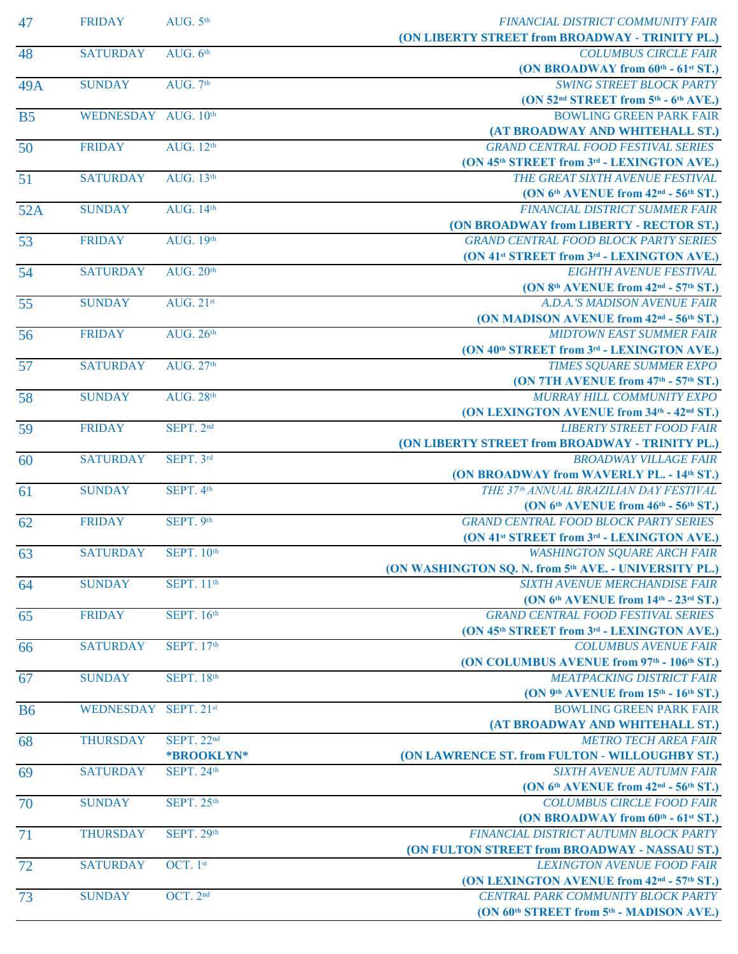| 47              | <b>FRIDAY</b>        | AUG. $5th$                    | FINANCIAL DISTRICT COMMUNITY FAIR<br>(ON LIBERTY STREET from BROADWAY - TRINITY PL.) |
|-----------------|----------------------|-------------------------------|--------------------------------------------------------------------------------------|
| 48              | <b>SATURDAY</b>      | AUG. $6th$                    | <b>COLUMBUS CIRCLE FAIR</b>                                                          |
|                 |                      |                               | (ON BROADWAY from 60th - 61st ST.)                                                   |
| 49A             | <b>SUNDAY</b>        | AUG. 7th                      | <b>SWING STREET BLOCK PARTY</b>                                                      |
|                 |                      |                               | (ON 52 <sup>nd</sup> STREET from 5 <sup>th</sup> - 6 <sup>th</sup> AVE.)             |
| <b>B5</b>       | WEDNESDAY AUG. 10th  |                               | <b>BOWLING GREEN PARK FAIR</b>                                                       |
|                 |                      |                               | (AT BROADWAY AND WHITEHALL ST.)                                                      |
| 50              | <b>FRIDAY</b>        | AUG. 12th                     | <b>GRAND CENTRAL FOOD FESTIVAL SERIES</b>                                            |
| 51              | <b>SATURDAY</b>      | <b>AUG.</b> 13th              | (ON 45th STREET from 3rd - LEXINGTON AVE.)<br>THE GREAT SIXTH AVENUE FESTIVAL        |
|                 |                      |                               | (ON 6th AVENUE from 42 <sup>nd</sup> - 56th ST.)                                     |
| 52A             | <b>SUNDAY</b>        | AUG. 14th                     | FINANCIAL DISTRICT SUMMER FAIR                                                       |
|                 |                      |                               | (ON BROADWAY from LIBERTY - RECTOR ST.)                                              |
| 53              | <b>FRIDAY</b>        | <b>AUG.</b> 19th              | <b>GRAND CENTRAL FOOD BLOCK PARTY SERIES</b>                                         |
|                 |                      |                               | (ON 41 <sup>st</sup> STREET from 3 <sup>rd</sup> - LEXINGTON AVE.)                   |
| 54              | <b>SATURDAY</b>      | <b>AUG. 20th</b>              | <b>EIGHTH AVENUE FESTIVAL</b>                                                        |
|                 |                      |                               | (ON 8th AVENUE from 42 <sup>nd</sup> - 57th ST.)                                     |
| 55              | <b>SUNDAY</b>        | AUG. $21^{st}$                | A.D.A.'S MADISON AVENUE FAIR                                                         |
|                 |                      |                               | (ON MADISON AVENUE from 42 <sup>nd</sup> - 56 <sup>th</sup> ST.)                     |
| 56              | <b>FRIDAY</b>        | <b>AUG. 26th</b>              | <b>MIDTOWN EAST SUMMER FAIR</b>                                                      |
|                 |                      |                               | (ON 40th STREET from 3rd - LEXINGTON AVE.)                                           |
| 57              | <b>SATURDAY</b>      | AUG. 27th                     | TIMES SQUARE SUMMER EXPO                                                             |
|                 |                      |                               | (ON 7TH AVENUE from 47th - 57th ST.)                                                 |
| 58              | <b>SUNDAY</b>        | <b>AUG. 28th</b>              | MURRAY HILL COMMUNITY EXPO                                                           |
|                 | <b>FRIDAY</b>        | SEPT. 2nd                     | (ON LEXINGTON AVENUE from 34th - 42nd ST.)<br><b>LIBERTY STREET FOOD FAIR</b>        |
| 59              |                      |                               | (ON LIBERTY STREET from BROADWAY - TRINITY PL.)                                      |
| 60              | <b>SATURDAY</b>      | SEPT. 3rd                     | <b>BROADWAY VILLAGE FAIR</b>                                                         |
|                 |                      |                               | (ON BROADWAY from WAVERLY PL. - 14th ST.)                                            |
| 61              | <b>SUNDAY</b>        | SEPT. 4th                     | THE 37th ANNUAL BRAZILIAN DAY FESTIVAL                                               |
|                 |                      |                               | (ON $6th$ AVENUE from $46th$ - $56th$ ST.)                                           |
| 62              | <b>FRIDAY</b>        | SEPT. 9th                     | <b>GRAND CENTRAL FOOD BLOCK PARTY SERIES</b>                                         |
|                 |                      |                               | (ON 41 <sup>st</sup> STREET from 3 <sup>rd</sup> - LEXINGTON AVE.)                   |
| 63              | <b>SATURDAY</b>      | <b>SEPT. 10th</b>             | <b>WASHINGTON SQUARE ARCH FAIR</b>                                                   |
|                 |                      |                               | (ON WASHINGTON SQ. N. from 5th AVE. - UNIVERSITY PL.)                                |
| 64              | <b>SUNDAY</b>        | <b>SEPT.</b> 11 <sup>th</sup> | <b>SIXTH AVENUE MERCHANDISE FAIR</b>                                                 |
|                 |                      |                               | (ON 6th AVENUE from 14th - 23rd ST.)                                                 |
| 65              | <b>FRIDAY</b>        | <b>SEPT.</b> 16th             | <b>GRAND CENTRAL FOOD FESTIVAL SERIES</b>                                            |
|                 |                      |                               | (ON 45th STREET from 3rd - LEXINGTON AVE.)                                           |
| 66              | <b>SATURDAY</b>      | <b>SEPT.</b> 17th             | <b>COLUMBUS AVENUE FAIR</b>                                                          |
|                 |                      |                               | (ON COLUMBUS AVENUE from 97th - 106th ST.)                                           |
| 67              | <b>SUNDAY</b>        | <b>SEPT. 18th</b>             | <b>MEATPACKING DISTRICT FAIR</b>                                                     |
| <b>B6</b>       | WEDNESDAY SEPT. 21st |                               | (ON $9th$ AVENUE from $15th - 16th$ ST.)<br><b>BOWLING GREEN PARK FAIR</b>           |
|                 |                      |                               | (AT BROADWAY AND WHITEHALL ST.)                                                      |
| 68              | <b>THURSDAY</b>      | <b>SEPT. 22nd</b>             | <b>METRO TECH AREA FAIR</b>                                                          |
|                 |                      | <b>*BROOKLYN*</b>             | (ON LAWRENCE ST. from FULTON - WILLOUGHBY ST.)                                       |
| 69              | <b>SATURDAY</b>      | <b>SEPT. 24th</b>             | <b>SIXTH AVENUE AUTUMN FAIR</b>                                                      |
|                 |                      |                               | (ON 6 <sup>th</sup> AVENUE from 42 <sup>nd</sup> - 56 <sup>th</sup> ST.)             |
| $\overline{70}$ | <b>SUNDAY</b>        | <b>SEPT. 25th</b>             | <b>COLUMBUS CIRCLE FOOD FAIR</b>                                                     |
|                 |                      |                               | (ON BROADWAY from 60th - 61st ST.)                                                   |
| 71              | <b>THURSDAY</b>      | <b>SEPT. 29th</b>             | FINANCIAL DISTRICT AUTUMN BLOCK PARTY                                                |
|                 |                      |                               | (ON FULTON STREET from BROADWAY - NASSAU ST.)                                        |
| 72              | <b>SATURDAY</b>      | OCT. 1st                      | <b>LEXINGTON AVENUE FOOD FAIR</b>                                                    |
|                 |                      |                               | (ON LEXINGTON AVENUE from 42 <sup>nd</sup> - 57 <sup>th</sup> ST.)                   |
| 73              | <b>SUNDAY</b>        | OCT. 2nd                      | CENTRAL PARK COMMUNITY BLOCK PARTY                                                   |
|                 |                      |                               | (ON 60th STREET from 5th - MADISON AVE.)                                             |